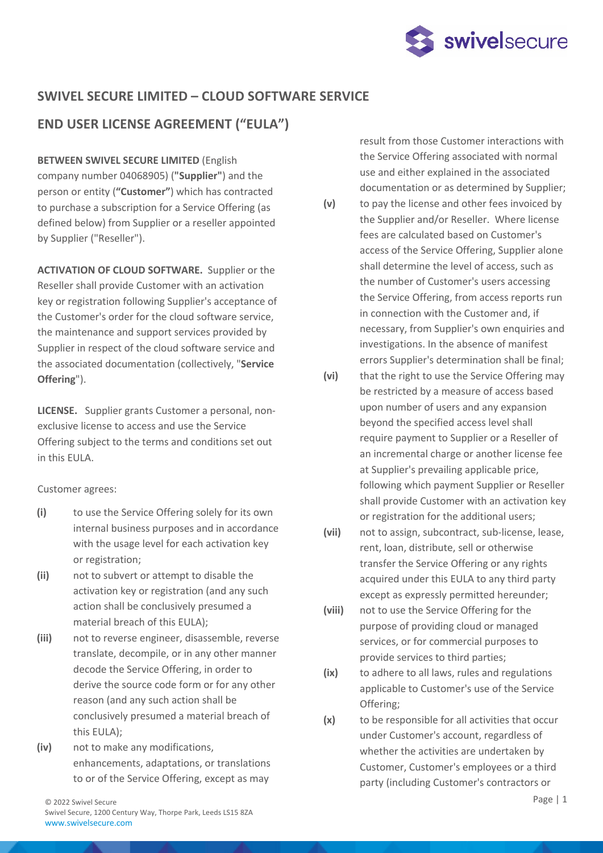

## **SWIVEL SECURE LIMITED – CLOUD SOFTWARE SERVICE**

# **END USER LICENSE AGREEMENT ("EULA")**

**BETWEEN SWIVEL SECURE LIMITED** (English company number 04068905) (**"Supplier"**) and the person or entity (**"Customer"**) which has contracted to purchase a subscription for a Service Offering (as defined below) from Supplier or a reseller appointed by Supplier ("Reseller").

**ACTIVATION OF CLOUD SOFTWARE.** Supplier or the Reseller shall provide Customer with an activation key or registration following Supplier's acceptance of the Customer's order for the cloud software service, the maintenance and support services provided by Supplier in respect of the cloud software service and the associated documentation (collectively, "**Service Offering**").

**LICENSE.** Supplier grants Customer a personal, nonexclusive license to access and use the Service Offering subject to the terms and conditions set out in this EULA.

## Customer agrees:

- **(i)** to use the Service Offering solely for its own internal business purposes and in accordance with the usage level for each activation key or registration;
- **(ii)** not to subvert or attempt to disable the activation key or registration (and any such action shall be conclusively presumed a material breach of this EULA);
- **(iii)** not to reverse engineer, disassemble, reverse translate, decompile, or in any other manner decode the Service Offering, in order to derive the source code form or for any other reason (and any such action shall be conclusively presumed a material breach of this EULA);
- **(iv)** not to make any modifications, enhancements, adaptations, or translations to or of the Service Offering, except as may

result from those Customer interactions with the Service Offering associated with normal use and either explained in the associated documentation or as determined by Supplier;

- **(v)** to pay the license and other fees invoiced by the Supplier and/or Reseller. Where license fees are calculated based on Customer's access of the Service Offering, Supplier alone shall determine the level of access, such as the number of Customer's users accessing the Service Offering, from access reports run in connection with the Customer and, if necessary, from Supplier's own enquiries and investigations. In the absence of manifest errors Supplier's determination shall be final;
- **(vi)** that the right to use the Service Offering may be restricted by a measure of access based upon number of users and any expansion beyond the specified access level shall require payment to Supplier or a Reseller of an incremental charge or another license fee at Supplier's prevailing applicable price, following which payment Supplier or Reseller shall provide Customer with an activation key or registration for the additional users;
- **(vii)** not to assign, subcontract, sub-license, lease, rent, loan, distribute, sell or otherwise transfer the Service Offering or any rights acquired under this EULA to any third party except as expressly permitted hereunder;
- **(viii)** not to use the Service Offering for the purpose of providing cloud or managed services, or for commercial purposes to provide services to third parties;
- **(ix)** to adhere to all laws, rules and regulations applicable to Customer's use of the Service Offering;
- **(x)** to be responsible for all activities that occur under Customer's account, regardless of whether the activities are undertaken by Customer, Customer's employees or a third party (including Customer's contractors or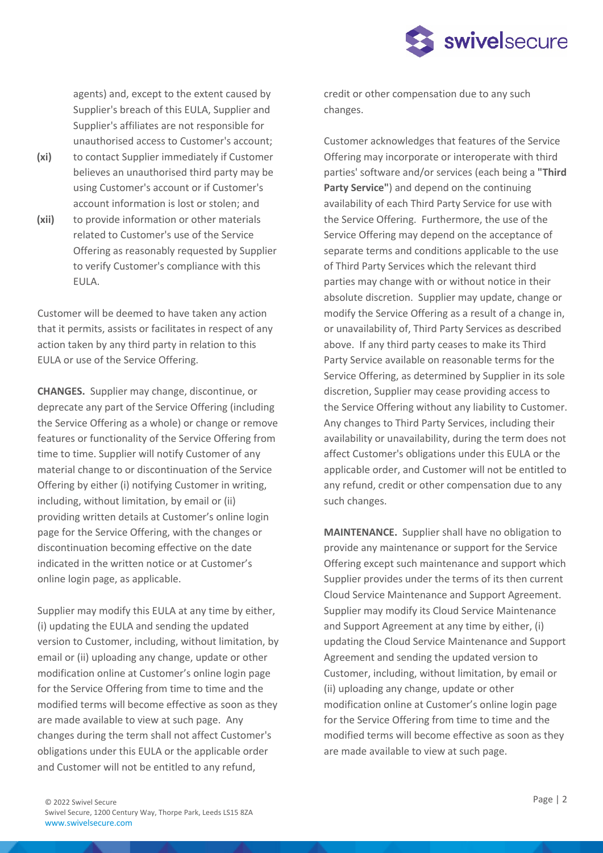

agents) and, except to the extent caused by Supplier's breach of this EULA, Supplier and Supplier's affiliates are not responsible for unauthorised access to Customer's account;

- **(xi)** to contact Supplier immediately if Customer believes an unauthorised third party may be using Customer's account or if Customer's account information is lost or stolen; and
- **(xii)** to provide information or other materials related to Customer's use of the Service Offering as reasonably requested by Supplier to verify Customer's compliance with this EULA.

Customer will be deemed to have taken any action that it permits, assists or facilitates in respect of any action taken by any third party in relation to this EULA or use of the Service Offering.

**CHANGES.** Supplier may change, discontinue, or deprecate any part of the Service Offering (including the Service Offering as a whole) or change or remove features or functionality of the Service Offering from time to time. Supplier will notify Customer of any material change to or discontinuation of the Service Offering by either (i) notifying Customer in writing, including, without limitation, by email or (ii) providing written details at Customer's online login page for the Service Offering, with the changes or discontinuation becoming effective on the date indicated in the written notice or at Customer's online login page, as applicable.

Supplier may modify this EULA at any time by either, (i) updating the EULA and sending the updated version to Customer, including, without limitation, by email or (ii) uploading any change, update or other modification online at Customer's online login page for the Service Offering from time to time and the modified terms will become effective as soon as they are made available to view at such page. Any changes during the term shall not affect Customer's obligations under this EULA or the applicable order and Customer will not be entitled to any refund,

credit or other compensation due to any such changes.

Customer acknowledges that features of the Service Offering may incorporate or interoperate with third parties' software and/or services (each being a **"Third Party Service"**) and depend on the continuing availability of each Third Party Service for use with the Service Offering. Furthermore, the use of the Service Offering may depend on the acceptance of separate terms and conditions applicable to the use of Third Party Services which the relevant third parties may change with or without notice in their absolute discretion. Supplier may update, change or modify the Service Offering as a result of a change in, or unavailability of, Third Party Services as described above. If any third party ceases to make its Third Party Service available on reasonable terms for the Service Offering, as determined by Supplier in its sole discretion, Supplier may cease providing access to the Service Offering without any liability to Customer. Any changes to Third Party Services, including their availability or unavailability, during the term does not affect Customer's obligations under this EULA or the applicable order, and Customer will not be entitled to any refund, credit or other compensation due to any such changes.

**MAINTENANCE.** Supplier shall have no obligation to provide any maintenance or support for the Service Offering except such maintenance and support which Supplier provides under the terms of its then current Cloud Service Maintenance and Support Agreement. Supplier may modify its Cloud Service Maintenance and Support Agreement at any time by either, (i) updating the Cloud Service Maintenance and Support Agreement and sending the updated version to Customer, including, without limitation, by email or (ii) uploading any change, update or other modification online at Customer's online login page for the Service Offering from time to time and the modified terms will become effective as soon as they are made available to view at such page.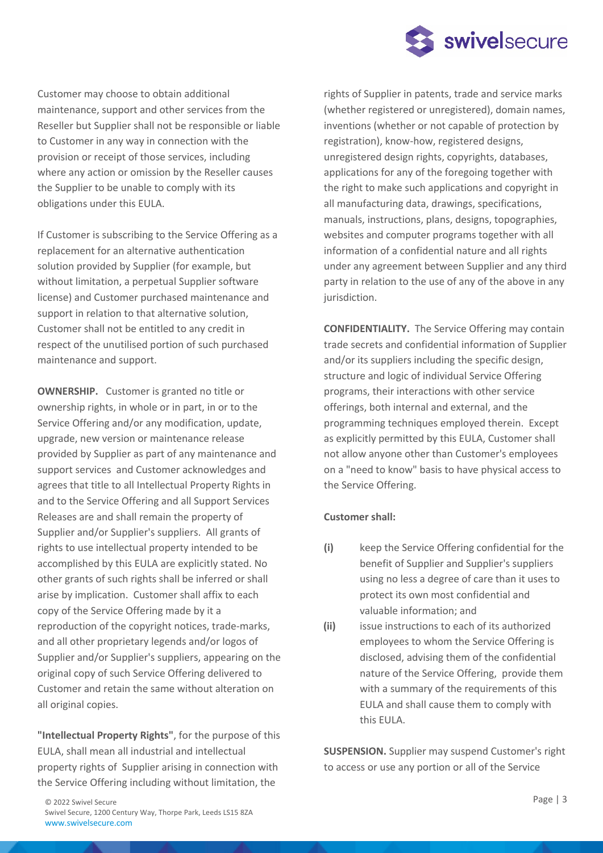

Customer may choose to obtain additional maintenance, support and other services from the Reseller but Supplier shall not be responsible or liable to Customer in any way in connection with the provision or receipt of those services, including where any action or omission by the Reseller causes the Supplier to be unable to comply with its obligations under this EULA.

If Customer is subscribing to the Service Offering as a replacement for an alternative authentication solution provided by Supplier (for example, but without limitation, a perpetual Supplier software license) and Customer purchased maintenance and support in relation to that alternative solution, Customer shall not be entitled to any credit in respect of the unutilised portion of such purchased maintenance and support.

**OWNERSHIP.** Customer is granted no title or ownership rights, in whole or in part, in or to the Service Offering and/or any modification, update, upgrade, new version or maintenance release provided by Supplier as part of any maintenance and support services and Customer acknowledges and agrees that title to all Intellectual Property Rights in and to the Service Offering and all Support Services Releases are and shall remain the property of Supplier and/or Supplier's suppliers. All grants of rights to use intellectual property intended to be accomplished by this EULA are explicitly stated. No other grants of such rights shall be inferred or shall arise by implication. Customer shall affix to each copy of the Service Offering made by it a reproduction of the copyright notices, trade-marks, and all other proprietary legends and/or logos of Supplier and/or Supplier's suppliers, appearing on the original copy of such Service Offering delivered to Customer and retain the same without alteration on all original copies.

**"Intellectual Property Rights"**, for the purpose of this EULA, shall mean all industrial and intellectual property rights of Supplier arising in connection with the Service Offering including without limitation, the

rights of Supplier in patents, trade and service marks (whether registered or unregistered), domain names, inventions (whether or not capable of protection by registration), know-how, registered designs, unregistered design rights, copyrights, databases, applications for any of the foregoing together with the right to make such applications and copyright in all manufacturing data, drawings, specifications, manuals, instructions, plans, designs, topographies, websites and computer programs together with all information of a confidential nature and all rights under any agreement between Supplier and any third party in relation to the use of any of the above in any jurisdiction.

**CONFIDENTIALITY.** The Service Offering may contain trade secrets and confidential information of Supplier and/or its suppliers including the specific design, structure and logic of individual Service Offering programs, their interactions with other service offerings, both internal and external, and the programming techniques employed therein. Except as explicitly permitted by this EULA, Customer shall not allow anyone other than Customer's employees on a "need to know" basis to have physical access to the Service Offering.

## **Customer shall:**

- **(i)** keep the Service Offering confidential for the benefit of Supplier and Supplier's suppliers using no less a degree of care than it uses to protect its own most confidential and valuable information; and
- **(ii)** issue instructions to each of its authorized employees to whom the Service Offering is disclosed, advising them of the confidential nature of the Service Offering, provide them with a summary of the requirements of this EULA and shall cause them to comply with this EULA.

**SUSPENSION.** Supplier may suspend Customer's right to access or use any portion or all of the Service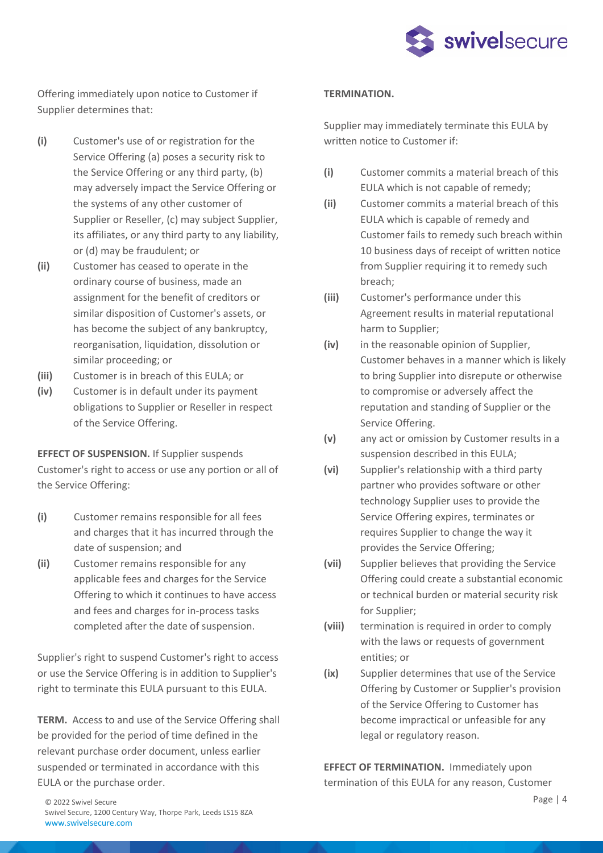

Offering immediately upon notice to Customer if Supplier determines that:

- **(i)** Customer's use of or registration for the Service Offering (a) poses a security risk to the Service Offering or any third party, (b) may adversely impact the Service Offering or the systems of any other customer of Supplier or Reseller, (c) may subject Supplier, its affiliates, or any third party to any liability, or (d) may be fraudulent; or
- **(ii)** Customer has ceased to operate in the ordinary course of business, made an assignment for the benefit of creditors or similar disposition of Customer's assets, or has become the subject of any bankruptcy, reorganisation, liquidation, dissolution or similar proceeding; or
- **(iii)** Customer is in breach of this EULA; or
- **(iv)** Customer is in default under its payment obligations to Supplier or Reseller in respect of the Service Offering.

**EFFECT OF SUSPENSION.** If Supplier suspends Customer's right to access or use any portion or all of the Service Offering:

- **(i)** Customer remains responsible for all fees and charges that it has incurred through the date of suspension; and
- **(ii)** Customer remains responsible for any applicable fees and charges for the Service Offering to which it continues to have access and fees and charges for in-process tasks completed after the date of suspension.

Supplier's right to suspend Customer's right to access or use the Service Offering is in addition to Supplier's right to terminate this EULA pursuant to this EULA.

**TERM.** Access to and use of the Service Offering shall be provided for the period of time defined in the relevant purchase order document, unless earlier suspended or terminated in accordance with this EULA or the purchase order.

#### **TERMINATION.**

Supplier may immediately terminate this EULA by written notice to Customer if:

- **(i)** Customer commits a material breach of this EULA which is not capable of remedy;
- **(ii)** Customer commits a material breach of this EULA which is capable of remedy and Customer fails to remedy such breach within 10 business days of receipt of written notice from Supplier requiring it to remedy such breach;
- **(iii)** Customer's performance under this Agreement results in material reputational harm to Supplier;
- **(iv)** in the reasonable opinion of Supplier, Customer behaves in a manner which is likely to bring Supplier into disrepute or otherwise to compromise or adversely affect the reputation and standing of Supplier or the Service Offering.
- **(v)** any act or omission by Customer results in a suspension described in this EULA;
- **(vi)** Supplier's relationship with a third party partner who provides software or other technology Supplier uses to provide the Service Offering expires, terminates or requires Supplier to change the way it provides the Service Offering;
- **(vii)** Supplier believes that providing the Service Offering could create a substantial economic or technical burden or material security risk for Supplier;
- **(viii)** termination is required in order to comply with the laws or requests of government entities; or
- **(ix)** Supplier determines that use of the Service Offering by Customer or Supplier's provision of the Service Offering to Customer has become impractical or unfeasible for any legal or regulatory reason.

**EFFECT OF TERMINATION.** Immediately upon termination of this EULA for any reason, Customer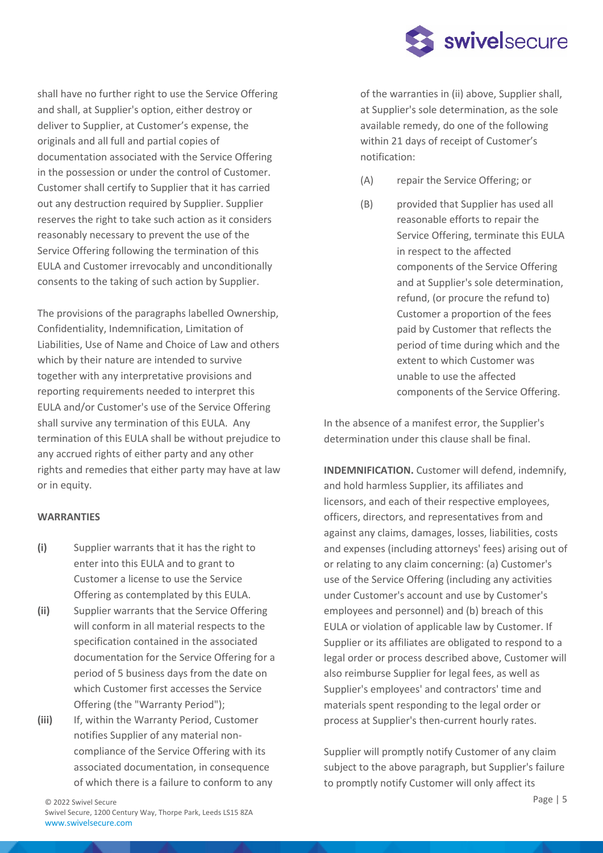

shall have no further right to use the Service Offering and shall, at Supplier's option, either destroy or deliver to Supplier, at Customer's expense, the originals and all full and partial copies of documentation associated with the Service Offering in the possession or under the control of Customer. Customer shall certify to Supplier that it has carried out any destruction required by Supplier. Supplier reserves the right to take such action as it considers reasonably necessary to prevent the use of the Service Offering following the termination of this EULA and Customer irrevocably and unconditionally consents to the taking of such action by Supplier.

The provisions of the paragraphs labelled Ownership, Confidentiality, Indemnification, Limitation of Liabilities, Use of Name and Choice of Law and others which by their nature are intended to survive together with any interpretative provisions and reporting requirements needed to interpret this EULA and/or Customer's use of the Service Offering shall survive any termination of this EULA. Any termination of this EULA shall be without prejudice to any accrued rights of either party and any other rights and remedies that either party may have at law or in equity.

### **WARRANTIES**

- **(i)** Supplier warrants that it has the right to enter into this EULA and to grant to Customer a license to use the Service Offering as contemplated by this EULA.
- **(ii)** Supplier warrants that the Service Offering will conform in all material respects to the specification contained in the associated documentation for the Service Offering for a period of 5 business days from the date on which Customer first accesses the Service Offering (the "Warranty Period");
- **(iii)** If, within the Warranty Period, Customer notifies Supplier of any material noncompliance of the Service Offering with its associated documentation, in consequence of which there is a failure to conform to any

of the warranties in (ii) above, Supplier shall, at Supplier's sole determination, as the sole available remedy, do one of the following within 21 days of receipt of Customer's notification:

- (A) repair the Service Offering; or
- (B) provided that Supplier has used all reasonable efforts to repair the Service Offering, terminate this EULA in respect to the affected components of the Service Offering and at Supplier's sole determination, refund, (or procure the refund to) Customer a proportion of the fees paid by Customer that reflects the period of time during which and the extent to which Customer was unable to use the affected components of the Service Offering.

In the absence of a manifest error, the Supplier's determination under this clause shall be final.

**INDEMNIFICATION.** Customer will defend, indemnify, and hold harmless Supplier, its affiliates and licensors, and each of their respective employees, officers, directors, and representatives from and against any claims, damages, losses, liabilities, costs and expenses (including attorneys' fees) arising out of or relating to any claim concerning: (a) Customer's use of the Service Offering (including any activities under Customer's account and use by Customer's employees and personnel) and (b) breach of this EULA or violation of applicable law by Customer. If Supplier or its affiliates are obligated to respond to a legal order or process described above, Customer will also reimburse Supplier for legal fees, as well as Supplier's employees' and contractors' time and materials spent responding to the legal order or process at Supplier's then-current hourly rates.

Supplier will promptly notify Customer of any claim subject to the above paragraph, but Supplier's failure to promptly notify Customer will only affect its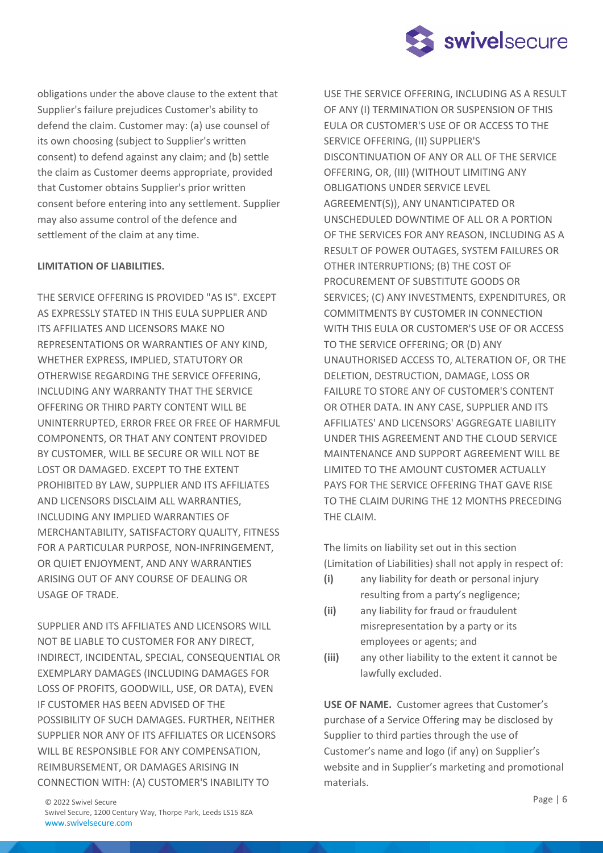

obligations under the above clause to the extent that Supplier's failure prejudices Customer's ability to defend the claim. Customer may: (a) use counsel of its own choosing (subject to Supplier's written consent) to defend against any claim; and (b) settle the claim as Customer deems appropriate, provided that Customer obtains Supplier's prior written consent before entering into any settlement. Supplier may also assume control of the defence and settlement of the claim at any time.

### **LIMITATION OF LIABILITIES.**

THE SERVICE OFFERING IS PROVIDED "AS IS". EXCEPT AS EXPRESSLY STATED IN THIS EULA SUPPLIER AND ITS AFFILIATES AND LICENSORS MAKE NO REPRESENTATIONS OR WARRANTIES OF ANY KIND, WHETHER EXPRESS, IMPLIED, STATUTORY OR OTHERWISE REGARDING THE SERVICE OFFERING, INCLUDING ANY WARRANTY THAT THE SERVICE OFFERING OR THIRD PARTY CONTENT WILL BE UNINTERRUPTED, ERROR FREE OR FREE OF HARMFUL COMPONENTS, OR THAT ANY CONTENT PROVIDED BY CUSTOMER, WILL BE SECURE OR WILL NOT BE LOST OR DAMAGED. EXCEPT TO THE EXTENT PROHIBITED BY LAW, SUPPLIER AND ITS AFFILIATES AND LICENSORS DISCLAIM ALL WARRANTIES, INCLUDING ANY IMPLIED WARRANTIES OF MERCHANTABILITY, SATISFACTORY QUALITY, FITNESS FOR A PARTICULAR PURPOSE, NON-INFRINGEMENT, OR QUIET ENJOYMENT, AND ANY WARRANTIES ARISING OUT OF ANY COURSE OF DEALING OR USAGE OF TRADE.

SUPPLIER AND ITS AFFILIATES AND LICENSORS WILL NOT BE LIABLE TO CUSTOMER FOR ANY DIRECT, INDIRECT, INCIDENTAL, SPECIAL, CONSEQUENTIAL OR EXEMPLARY DAMAGES (INCLUDING DAMAGES FOR LOSS OF PROFITS, GOODWILL, USE, OR DATA), EVEN IF CUSTOMER HAS BEEN ADVISED OF THE POSSIBILITY OF SUCH DAMAGES. FURTHER, NEITHER SUPPLIER NOR ANY OF ITS AFFILIATES OR LICENSORS WILL BE RESPONSIBLE FOR ANY COMPENSATION, REIMBURSEMENT, OR DAMAGES ARISING IN CONNECTION WITH: (A) CUSTOMER'S INABILITY TO

OF ANY (I) TERMINATION OR SUSPENSION OF THIS EULA OR CUSTOMER'S USE OF OR ACCESS TO THE SERVICE OFFERING, (II) SUPPLIER'S DISCONTINUATION OF ANY OR ALL OF THE SERVICE OFFERING, OR, (III) (WITHOUT LIMITING ANY OBLIGATIONS UNDER SERVICE LEVEL AGREEMENT(S)), ANY UNANTICIPATED OR UNSCHEDULED DOWNTIME OF ALL OR A PORTION OF THE SERVICES FOR ANY REASON, INCLUDING AS A RESULT OF POWER OUTAGES, SYSTEM FAILURES OR OTHER INTERRUPTIONS; (B) THE COST OF PROCUREMENT OF SUBSTITUTE GOODS OR SERVICES; (C) ANY INVESTMENTS, EXPENDITURES, OR COMMITMENTS BY CUSTOMER IN CONNECTION WITH THIS EULA OR CUSTOMER'S USE OF OR ACCESS TO THE SERVICE OFFERING; OR (D) ANY UNAUTHORISED ACCESS TO, ALTERATION OF, OR THE DELETION, DESTRUCTION, DAMAGE, LOSS OR FAILURE TO STORE ANY OF CUSTOMER'S CONTENT OR OTHER DATA. IN ANY CASE, SUPPLIER AND ITS AFFILIATES' AND LICENSORS' AGGREGATE LIABILITY UNDER THIS AGREEMENT AND THE CLOUD SERVICE MAINTENANCE AND SUPPORT AGREEMENT WILL BE LIMITED TO THE AMOUNT CUSTOMER ACTUALLY PAYS FOR THE SERVICE OFFERING THAT GAVE RISE TO THE CLAIM DURING THE 12 MONTHS PRECEDING THE CLAIM.

USE THE SERVICE OFFERING, INCLUDING AS A RESULT

The limits on liability set out in this section (Limitation of Liabilities) shall not apply in respect of:

- **(i)** any liability for death or personal injury resulting from a party's negligence;
- **(ii)** any liability for fraud or fraudulent misrepresentation by a party or its employees or agents; and
- **(iii)** any other liability to the extent it cannot be lawfully excluded.

**USE OF NAME.** Customer agrees that Customer's purchase of a Service Offering may be disclosed by Supplier to third parties through the use of Customer's name and logo (if any) on Supplier's website and in Supplier's marketing and promotional materials.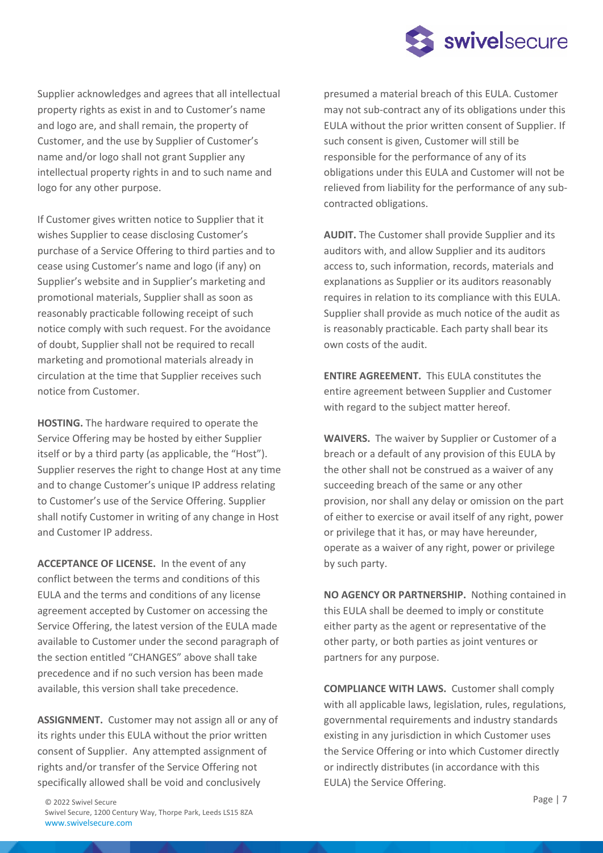

Supplier acknowledges and agrees that all intellectual property rights as exist in and to Customer's name and logo are, and shall remain, the property of Customer, and the use by Supplier of Customer's name and/or logo shall not grant Supplier any intellectual property rights in and to such name and logo for any other purpose.

If Customer gives written notice to Supplier that it wishes Supplier to cease disclosing Customer's purchase of a Service Offering to third parties and to cease using Customer's name and logo (if any) on Supplier's website and in Supplier's marketing and promotional materials, Supplier shall as soon as reasonably practicable following receipt of such notice comply with such request. For the avoidance of doubt, Supplier shall not be required to recall marketing and promotional materials already in circulation at the time that Supplier receives such notice from Customer.

**HOSTING.** The hardware required to operate the Service Offering may be hosted by either Supplier itself or by a third party (as applicable, the "Host"). Supplier reserves the right to change Host at any time and to change Customer's unique IP address relating to Customer's use of the Service Offering. Supplier shall notify Customer in writing of any change in Host and Customer IP address.

**ACCEPTANCE OF LICENSE.** In the event of any conflict between the terms and conditions of this EULA and the terms and conditions of any license agreement accepted by Customer on accessing the Service Offering, the latest version of the EULA made available to Customer under the second paragraph of the section entitled "CHANGES" above shall take precedence and if no such version has been made available, this version shall take precedence.

**ASSIGNMENT.** Customer may not assign all or any of its rights under this EULA without the prior written consent of Supplier. Any attempted assignment of rights and/or transfer of the Service Offering not specifically allowed shall be void and conclusively

presumed a material breach of this EULA. Customer may not sub-contract any of its obligations under this EULA without the prior written consent of Supplier. If such consent is given, Customer will still be responsible for the performance of any of its obligations under this EULA and Customer will not be relieved from liability for the performance of any subcontracted obligations.

**AUDIT.** The Customer shall provide Supplier and its auditors with, and allow Supplier and its auditors access to, such information, records, materials and explanations as Supplier or its auditors reasonably requires in relation to its compliance with this EULA. Supplier shall provide as much notice of the audit as is reasonably practicable. Each party shall bear its own costs of the audit.

**ENTIRE AGREEMENT.** This EULA constitutes the entire agreement between Supplier and Customer with regard to the subject matter hereof.

**WAIVERS.** The waiver by Supplier or Customer of a breach or a default of any provision of this EULA by the other shall not be construed as a waiver of any succeeding breach of the same or any other provision, nor shall any delay or omission on the part of either to exercise or avail itself of any right, power or privilege that it has, or may have hereunder, operate as a waiver of any right, power or privilege by such party.

**NO AGENCY OR PARTNERSHIP.** Nothing contained in this EULA shall be deemed to imply or constitute either party as the agent or representative of the other party, or both parties as joint ventures or partners for any purpose.

**COMPLIANCE WITH LAWS.** Customer shall comply with all applicable laws, legislation, rules, regulations, governmental requirements and industry standards existing in any jurisdiction in which Customer uses the Service Offering or into which Customer directly or indirectly distributes (in accordance with this EULA) the Service Offering.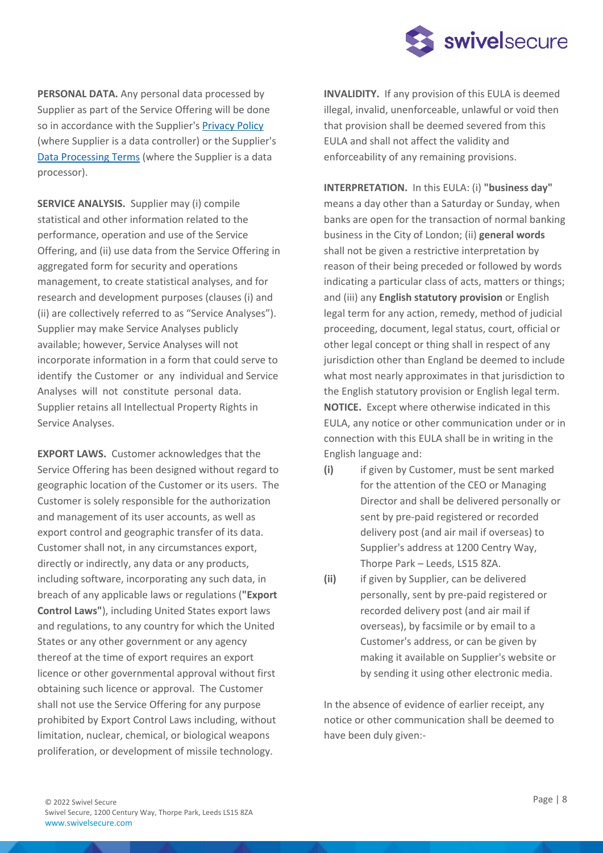

**PERSONAL DATA.** Any personal data processed by Supplier as part of the Service Offering will be done so in accordance with the Supplier's Privacy Policy (where Supplier is a data controller) or the Supplier's Data Processing Terms (where the Supplier is a data processor).

**SERVICE ANALYSIS.** Supplier may (i) compile statistical and other information related to the performance, operation and use of the Service Offering, and (ii) use data from the Service Offering in aggregated form for security and operations management, to create statistical analyses, and for research and development purposes (clauses (i) and (ii) are collectively referred to as "Service Analyses"). Supplier may make Service Analyses publicly available; however, Service Analyses will not incorporate information in a form that could serve to identify the Customer or any individual and Service Analyses will not constitute personal data. Supplier retains all Intellectual Property Rights in Service Analyses.

**EXPORT LAWS.** Customer acknowledges that the Service Offering has been designed without regard to geographic location of the Customer or its users. The Customer is solely responsible for the authorization and management of its user accounts, as well as export control and geographic transfer of its data. Customer shall not, in any circumstances export, directly or indirectly, any data or any products, including software, incorporating any such data, in breach of any applicable laws or regulations (**"Export Control Laws"**), including United States export laws and regulations, to any country for which the United States or any other government or any agency thereof at the time of export requires an export licence or other governmental approval without first obtaining such licence or approval. The Customer shall not use the Service Offering for any purpose prohibited by Export Control Laws including, without limitation, nuclear, chemical, or biological weapons proliferation, or development of missile technology.

**INVALIDITY.** If any provision of this EULA is deemed illegal, invalid, unenforceable, unlawful or void then that provision shall be deemed severed from this EULA and shall not affect the validity and enforceability of any remaining provisions.

**INTERPRETATION.** In this EULA: (i) **"business day"** means a day other than a Saturday or Sunday, when banks are open for the transaction of normal banking business in the City of London; (ii) **general words** shall not be given a restrictive interpretation by reason of their being preceded or followed by words indicating a particular class of acts, matters or things; and (iii) any **English statutory provision** or English legal term for any action, remedy, method of judicial proceeding, document, legal status, court, official or other legal concept or thing shall in respect of any jurisdiction other than England be deemed to include what most nearly approximates in that jurisdiction to the English statutory provision or English legal term. **NOTICE.** Except where otherwise indicated in this EULA, any notice or other communication under or in connection with this EULA shall be in writing in the English language and:

- **(i)** if given by Customer, must be sent marked for the attention of the CEO or Managing Director and shall be delivered personally or sent by pre-paid registered or recorded delivery post (and air mail if overseas) to Supplier's address at 1200 Centry Way, Thorpe Park – Leeds, LS15 8ZA.
- **(ii)** if given by Supplier, can be delivered personally, sent by pre-paid registered or recorded delivery post (and air mail if overseas), by facsimile or by email to a Customer's address, or can be given by making it available on Supplier's website or by sending it using other electronic media.

In the absence of evidence of earlier receipt, any notice or other communication shall be deemed to have been duly given:-